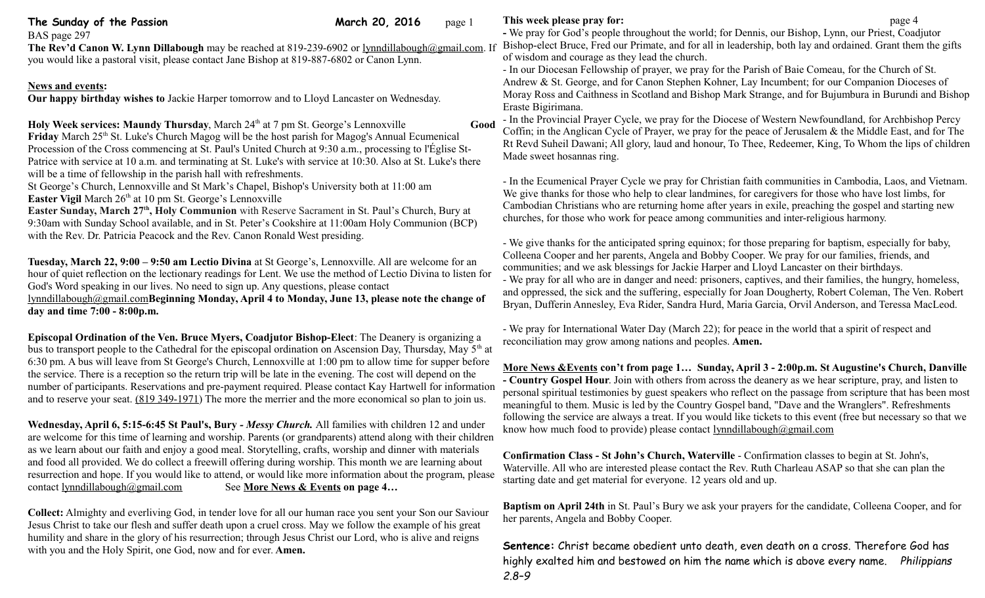| The Sunday of the Passion<br>BAS page 297<br>The Rev'd Canon W. Lynn Dillabough may be reached at 819-239-6902 or lynndillabough@gmail.com. If<br>you would like a pastoral visit, please contact Jane Bishop at 819-887-6802 or Canon Lynn.                                                                                                                                                                                                                                                                                                                                                                                                                                                                                                                                                                                                                                                                                                                                                     | March 20, 2016 | page 1                                                                                                                                                                                                                                                                                                                                                                                                                                                                                                                                                                                                                                             | This week please pray for:<br>- We pray for God's people throughout the world; for Dennis, our Bishop, Lynn, our Priest, Coadjutor<br>Bishop-elect Bruce, Fred our Primate, and for all in leadership, both lay and ordained. Grant them the gifts<br>of wisdom and courage as they lead the church.<br>- In our Diocesan Fellowship of prayer, we pray for the Parish of Baie Comeau, for the Church of St.            | page 4 |  |
|--------------------------------------------------------------------------------------------------------------------------------------------------------------------------------------------------------------------------------------------------------------------------------------------------------------------------------------------------------------------------------------------------------------------------------------------------------------------------------------------------------------------------------------------------------------------------------------------------------------------------------------------------------------------------------------------------------------------------------------------------------------------------------------------------------------------------------------------------------------------------------------------------------------------------------------------------------------------------------------------------|----------------|----------------------------------------------------------------------------------------------------------------------------------------------------------------------------------------------------------------------------------------------------------------------------------------------------------------------------------------------------------------------------------------------------------------------------------------------------------------------------------------------------------------------------------------------------------------------------------------------------------------------------------------------------|-------------------------------------------------------------------------------------------------------------------------------------------------------------------------------------------------------------------------------------------------------------------------------------------------------------------------------------------------------------------------------------------------------------------------|--------|--|
| <b>News and events:</b><br>Our happy birthday wishes to Jackie Harper tomorrow and to Lloyd Lancaster on Wednesday.                                                                                                                                                                                                                                                                                                                                                                                                                                                                                                                                                                                                                                                                                                                                                                                                                                                                              |                |                                                                                                                                                                                                                                                                                                                                                                                                                                                                                                                                                                                                                                                    | Andrew & St. George, and for Canon Stephen Kohner, Lay Incumbent; for our Companion Dioceses of<br>Moray Ross and Caithness in Scotland and Bishop Mark Strange, and for Bujumbura in Burundi and Bishop<br>Eraste Bigirimana.                                                                                                                                                                                          |        |  |
| Holy Week services: Maundy Thursday, March 24 <sup>th</sup> at 7 pm St. George's Lennoxville<br>Friday March 25 <sup>th</sup> St. Luke's Church Magog will be the host parish for Magog's Annual Ecumenical<br>Procession of the Cross commencing at St. Paul's United Church at 9:30 a.m., processing to l'Église St-<br>Patrice with service at 10 a.m. and terminating at St. Luke's with service at 10:30. Also at St. Luke's there                                                                                                                                                                                                                                                                                                                                                                                                                                                                                                                                                          |                | Good                                                                                                                                                                                                                                                                                                                                                                                                                                                                                                                                                                                                                                               | - In the Provincial Prayer Cycle, we pray for the Diocese of Western Newfoundland, for Archbishop Percy<br>Coffin; in the Anglican Cycle of Prayer, we pray for the peace of Jerusalem & the Middle East, and for The<br>Rt Revd Suheil Dawani; All glory, laud and honour, To Thee, Redeemer, King, To Whom the lips of children<br>Made sweet hosannas ring.                                                          |        |  |
| will be a time of fellowship in the parish hall with refreshments.<br>St George's Church, Lennoxville and St Mark's Chapel, Bishop's University both at 11:00 am<br>Easter Vigil March 26 <sup>th</sup> at 10 pm St. George's Lennoxville<br>Easter Sunday, March 27 <sup>th</sup> , Holy Communion with Reserve Sacrament in St. Paul's Church, Bury at<br>9:30am with Sunday School available, and in St. Peter's Cookshire at 11:00am Holy Communion (BCP)<br>with the Rev. Dr. Patricia Peacock and the Rev. Canon Ronald West presiding.<br>Tuesday, March 22, 9:00 - 9:50 am Lectio Divina at St George's, Lennoxville. All are welcome for an<br>hour of quiet reflection on the lectionary readings for Lent. We use the method of Lectio Divina to listen for<br>God's Word speaking in our lives. No need to sign up. Any questions, please contact<br>lynndillabough@gmail.comBeginning Monday, April 4 to Monday, June 13, please note the change of<br>day and time 7:00 - 8:00p.m. |                |                                                                                                                                                                                                                                                                                                                                                                                                                                                                                                                                                                                                                                                    | - In the Ecumenical Prayer Cycle we pray for Christian faith communities in Cambodia, Laos, and Vietnam.<br>We give thanks for those who help to clear landmines, for caregivers for those who have lost limbs, for<br>Cambodian Christians who are returning home after years in exile, preaching the gospel and starting new<br>churches, for those who work for peace among communities and inter-religious harmony. |        |  |
|                                                                                                                                                                                                                                                                                                                                                                                                                                                                                                                                                                                                                                                                                                                                                                                                                                                                                                                                                                                                  |                | - We give thanks for the anticipated spring equinox; for those preparing for baptism, especially for baby,<br>Colleena Cooper and her parents, Angela and Bobby Cooper. We pray for our families, friends, and<br>communities; and we ask blessings for Jackie Harper and Lloyd Lancaster on their birthdays.<br>- We pray for all who are in danger and need: prisoners, captives, and their families, the hungry, homeless,<br>and oppressed, the sick and the suffering, especially for Joan Dougherty, Robert Coleman, The Ven. Robert<br>Bryan, Dufferin Annesley, Eva Rider, Sandra Hurd, Maria Garcia, Orvil Anderson, and Teressa MacLeod. |                                                                                                                                                                                                                                                                                                                                                                                                                         |        |  |
| Episcopal Ordination of the Ven. Bruce Myers, Coadjutor Bishop-Elect: The Deanery is organizing a<br>bus to transport people to the Cathedral for the episcopal ordination on Ascension Day, Thursday, May 5 <sup>th</sup> at<br>6:30 pm. A bus will leave from St George's Church, Lennoxville at 1:00 pm to allow time for supper before<br>the service. There is a reception so the return trip will be late in the evening. The cost will depend on the<br>number of participants. Reservations and pre-payment required. Please contact Kay Hartwell for information<br>and to reserve your seat. $(819 349 - 1971)$ The more the merrier and the more economical so plan to join us.                                                                                                                                                                                                                                                                                                       |                |                                                                                                                                                                                                                                                                                                                                                                                                                                                                                                                                                                                                                                                    | - We pray for International Water Day (March 22); for peace in the world that a spirit of respect and<br>reconciliation may grow among nations and peoples. Amen.                                                                                                                                                                                                                                                       |        |  |
|                                                                                                                                                                                                                                                                                                                                                                                                                                                                                                                                                                                                                                                                                                                                                                                                                                                                                                                                                                                                  |                | More News & Events con't from page 1 Sunday, April 3 - 2:00p.m. St Augustine's Church, Danville<br>- Country Gospel Hour. Join with others from across the deanery as we hear scripture, pray, and listen to<br>personal spiritual testimonies by guest speakers who reflect on the passage from scripture that has been most<br>meaningful to them. Music is led by the Country Gospel band, "Dave and the Wranglers". Refreshments                                                                                                                                                                                                               |                                                                                                                                                                                                                                                                                                                                                                                                                         |        |  |
| Wednesday, April 6, 5:15-6:45 St Paul's, Bury - Messy Church. All families with children 12 and under<br>are welcome for this time of learning and worship. Parents (or grandparents) attend along with their children                                                                                                                                                                                                                                                                                                                                                                                                                                                                                                                                                                                                                                                                                                                                                                           |                |                                                                                                                                                                                                                                                                                                                                                                                                                                                                                                                                                                                                                                                    | following the service are always a treat. If you would like tickets to this event (free but necessary so that we<br>know how much food to provide) please contact lynndillabough@gmail.com                                                                                                                                                                                                                              |        |  |
| as we learn about our faith and enjoy a good meal. Storytelling, crafts, worship and dinner with materials<br>and food all provided. We do collect a freewill offering during worship. This month we are learning about<br>resurrection and hope. If you would like to attend, or would like more information about the program, please<br>contact lynndillabough@gmail.com<br>See More News & Events on page 4                                                                                                                                                                                                                                                                                                                                                                                                                                                                                                                                                                                  |                |                                                                                                                                                                                                                                                                                                                                                                                                                                                                                                                                                                                                                                                    | Confirmation Class - St John's Church, Waterville - Confirmation classes to begin at St. John's,<br>Waterville. All who are interested please contact the Rev. Ruth Charleau ASAP so that she can plan the<br>starting date and get material for everyone. 12 years old and up.                                                                                                                                         |        |  |

her parents, Angela and Bobby Cooper.

**Collect:** Almighty and everliving God, in tender love for all our human race you sent your Son our Saviour Jesus Christ to take our flesh and suffer death upon a cruel cross. May we follow the example of his great humility and share in the glory of his resurrection; through Jesus Christ our Lord, who is alive and reigns with you and the Holy Spirit, one God, now and for ever. **Amen.**

**Sentence:** Christ became obedient unto death, even death on a cross. Therefore God has highly exalted him and bestowed on him the name which is above every name. *Philippians 2.8–9*

**Baptism on April 24th** in St. Paul's Bury we ask your prayers for the candidate, Colleena Cooper, and for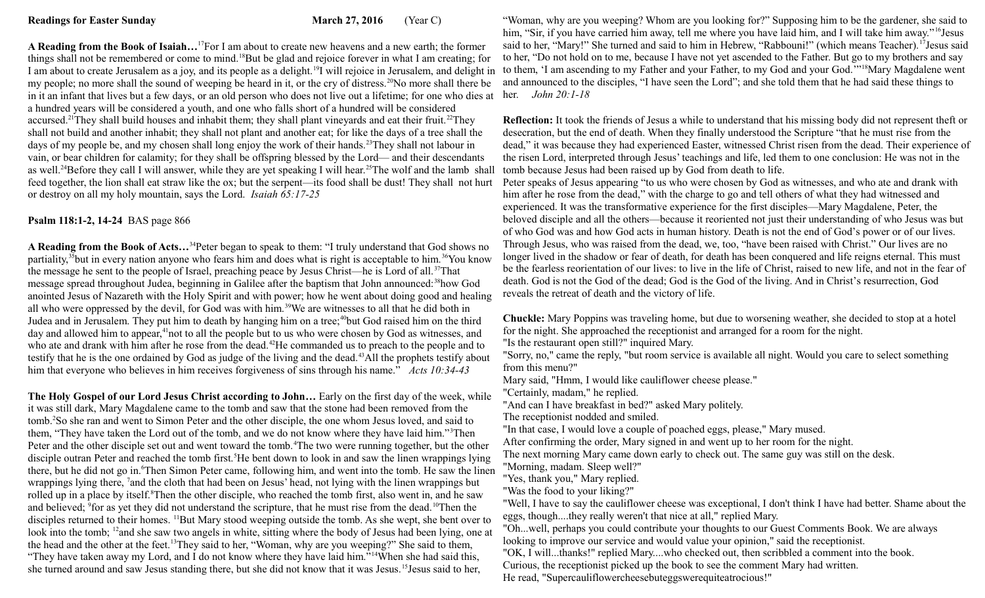**A Reading from the Book of Isaiah…**<sup>17</sup>For I am about to create new heavens and a new earth; the former things shall not be remembered or come to mind.<sup>18</sup>But be glad and rejoice forever in what I am creating; for I am about to create Jerusalem as a joy, and its people as a delight.<sup>19</sup>I will rejoice in Jerusalem, and delight in to them, 'I am ascending to my Father and your Father, to my God and your God.'"<sup>18</sup>Mary Magdalene went my people; no more shall the sound of weeping be heard in it, or the cry of distress.<sup>20</sup>No more shall there be in it an infant that lives but a few days, or an old person who does not live out a lifetime; for one who dies at her. *John 20:1-18* a hundred years will be considered a youth, and one who falls short of a hundred will be considered accursed.<sup>21</sup>They shall build houses and inhabit them; they shall plant vineyards and eat their fruit.<sup>22</sup>They shall not build and another inhabit; they shall not plant and another eat; for like the days of a tree shall the days of my people be, and my chosen shall long enjoy the work of their hands.<sup>23</sup>They shall not labour in vain, or bear children for calamity; for they shall be offspring blessed by the Lord— and their descendants as well.<sup>24</sup>Before they call I will answer, while they are yet speaking I will hear.<sup>25</sup>The wolf and the lamb shall feed together, the lion shall eat straw like the ox; but the serpent—its food shall be dust! They shall not hurt or destroy on all my holy mountain, says the Lord.*Isaiah 65:17-25* 

## **Psalm 118:1-2, 14-24** BAS page 866

**A Reading from the Book of Acts…**<sup>34</sup>Peter began to speak to them: "I truly understand that God shows no partiality,<sup>35</sup>but in every nation anyone who fears him and does what is right is acceptable to him.<sup>36</sup>You know the message he sent to the people of Israel, preaching peace by Jesus Christ—he is Lord of all.<sup>37</sup>That message spread throughout Judea, beginning in Galilee after the baptism that John announced:<sup>38</sup>how God anointed Jesus of Nazareth with the Holy Spirit and with power; how he went about doing good and healing all who were oppressed by the devil, for God was with him.<sup>39</sup>We are witnesses to all that he did both in Judea and in Jerusalem. They put him to death by hanging him on a tree;<sup>40</sup>but God raised him on the third day and allowed him to appear,<sup>41</sup>not to all the people but to us who were chosen by God as witnesses, and who ate and drank with him after he rose from the dead.<sup>42</sup>He commanded us to preach to the people and to testify that he is the one ordained by God as judge of the living and the dead.<sup>43</sup>All the prophets testify about him that everyone who believes in him receives forgiveness of sins through his name." *Acts 10:34-43*

**The Holy Gospel of our Lord Jesus Christ according to John…** Early on the first day of the week, while it was still dark, Mary Magdalene came to the tomb and saw that the stone had been removed from the tomb.<sup>2</sup>So she ran and went to Simon Peter and the other disciple, the one whom Jesus loved, and said to them, "They have taken the Lord out of the tomb, and we do not know where they have laid him."<sup>3</sup>Then Peter and the other disciple set out and went toward the tomb.<sup>4</sup>The two were running together, but the other disciple outran Peter and reached the tomb first.<sup>5</sup>He bent down to look in and saw the linen wrappings lying there, but he did not go in.<sup>6</sup>Then Simon Peter came, following him, and went into the tomb. He saw the linen wrappings lying there, <sup>7</sup> and the cloth that had been on Jesus' head, not lying with the linen wrappings but rolled up in a place by itself.<sup>8</sup>Then the other disciple, who reached the tomb first, also went in, and he saw and believed; <sup>9</sup> for as yet they did not understand the scripture, that he must rise from the dead.<sup>10</sup>Then the disciples returned to their homes. <sup>11</sup>But Mary stood weeping outside the tomb. As she wept, she bent over to look into the tomb; <sup>12</sup>and she saw two angels in white, sitting where the body of Jesus had been lying, one at the head and the other at the feet.<sup>13</sup>They said to her, "Woman, why are you weeping?" She said to them, "They have taken away my Lord, and I do not know where they have laid him."<sup>14</sup>When she had said this, she turned around and saw Jesus standing there, but she did not know that it was Jesus.<sup>15</sup>Jesus said to her,

"Woman, why are you weeping? Whom are you looking for?" Supposing him to be the gardener, she said to him, "Sir, if you have carried him away, tell me where you have laid him, and I will take him away." <sup>16</sup>Jesus said to her, "Mary!" She turned and said to him in Hebrew, "Rabbouni!" (which means Teacher).<sup>17</sup>Jesus said to her, "Do not hold on to me, because I have not yet ascended to the Father. But go to my brothers and say and announced to the disciples, "I have seen the Lord"; and she told them that he had said these things to

**Reflection:** It took the friends of Jesus a while to understand that his missing body did not represent theft or desecration, but the end of death. When they finally understood the Scripture "that he must rise from the dead," it was because they had experienced Easter, witnessed Christ risen from the dead. Their experience of the risen Lord, interpreted through Jesus' teachings and life, led them to one conclusion: He was not in the tomb because Jesus had been raised up by God from death to life.

Peter speaks of Jesus appearing "to us who were chosen by God as witnesses, and who ate and drank with him after he rose from the dead," with the charge to go and tell others of what they had witnessed and experienced. It was the transformative experience for the first disciples—Mary Magdalene, Peter, the beloved disciple and all the others—because it reoriented not just their understanding of who Jesus was but of who God was and how God acts in human history. Death is not the end of God's power or of our lives. Through Jesus, who was raised from the dead, we, too, "have been raised with Christ." Our lives are no longer lived in the shadow or fear of death, for death has been conquered and life reigns eternal. This must be the fearless reorientation of our lives: to live in the life of Christ, raised to new life, and not in the fear of death. God is not the God of the dead; God is the God of the living. And in Christ's resurrection, God reveals the retreat of death and the victory of life.

**Chuckle:** Mary Poppins was traveling home, but due to worsening weather, she decided to stop at a hotel for the night. She approached the receptionist and arranged for a room for the night.

"Is the restaurant open still?" inquired Mary.

"Sorry, no," came the reply, "but room service is available all night. Would you care to select something from this menu?"

Mary said, "Hmm, I would like cauliflower cheese please."

"Certainly, madam," he replied.

"And can I have breakfast in bed?" asked Mary politely.

The receptionist nodded and smiled.

"In that case, I would love a couple of poached eggs, please," Mary mused.

After confirming the order, Mary signed in and went up to her room for the night.

The next morning Mary came down early to check out. The same guy was still on the desk.

"Morning, madam. Sleep well?"

"Yes, thank you," Mary replied.

"Was the food to your liking?"

"Well, I have to say the cauliflower cheese was exceptional, I don't think I have had better. Shame about the eggs, though....they really weren't that nice at all," replied Mary.

"Oh...well, perhaps you could contribute your thoughts to our Guest Comments Book. We are always looking to improve our service and would value your opinion," said the receptionist.

"OK, I will...thanks!" replied Mary....who checked out, then scribbled a comment into the book.

Curious, the receptionist picked up the book to see the comment Mary had written.

He read, "Supercauliflowercheesebuteggswerequiteatrocious!"